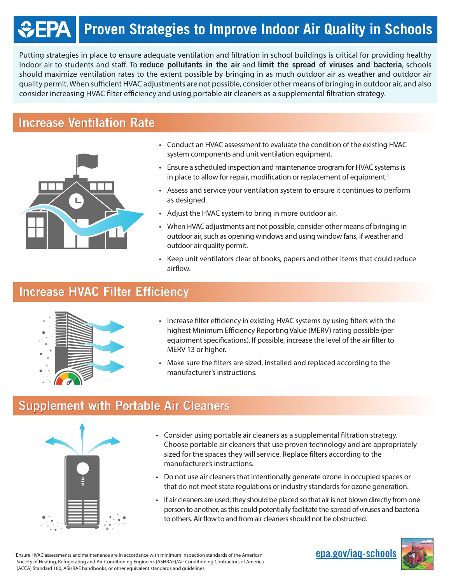# **FPA | Proven Strategies to Improve Indoor Air Quality in Schools**

Putting strategies in place to ensure adequate ventilation and filtration in school buildings is critical for providing healthy indoor air to students and staff. To reduce pollutants in the air and limit the spread of viruses and bacteria, schools should maximize ventilation rates to the extent possible by bringing in as much outdoor air as weather and outdoor air quality permit. When sufficient HVAC adjustments are not possible, consider other means of bringing in outdoor air, and also consider increasing HVAC filter efficiency and using portable air cleaners as a supplemental filtration strategy.

## Increase Ventilation Rate



- Conduct an HVAC assessment to evaluate the condition of the existing HVAC system components and unit ventilation equipment.
- Ensure a scheduled inspection and maintenance program for HVAC systems is in place to allow for repair, modification or replacement of equipment.<sup>1</sup>
- Assess and service your ventilation system to ensure it continues to perform as designed.
- Adjust the HVAC system to bring in more outdoor air.
- When HVAC adjustments are not possible, consider other means of bringing in outdoor air, such as opening windows and using window fans, if weather and outdoor air quality permit.
- Keep unit ventilators clear of books, papers and other items that could reduce airflow.

# Increase HVAC Filter Efficiency



- Increase filter efficiency in existing HVAC systems by using filters with the highest Minimum Efficiency Reporting Value (MERV) rating possible (per equipment specifications). If possible, increase the level of the air filter to MERV 13 or higher.
- Make sure the filters are sized, installed and replaced according to the manufacturer's instructions.

## Supplement with Portable Air Cleaners



- Consider using portable air cleaners as a supplemental filtration strategy. Choose portable air cleaners that use proven technology and are appropriately sized for the spaces they will service. Replace filters according to the manufacturer's instructions.
- Do not use air cleaners that intentionally generate ozone in occupied spaces or that do not meet state regulations or industry standards for ozone generation.
- If air cleaners are used, they should be placed so that air is not blown directly from one person to another, as this could potentially facilitate the spread of viruses and bacteria to others. Air flow to and from air cleaners should not be obstructed.

<sup>1</sup> Ensure HVAC assessments and maintenance are in accordance with minimum inspection standards of the American **epa.gov/iaq-schools** Society of Heating, Refrigerating and Air-Conditioning Engineers (ASHRAE)/Air Conditioning Contractors of America (ACCA) Standard 180, ASHRAE handbooks, or other equivalent standards and guidelines.

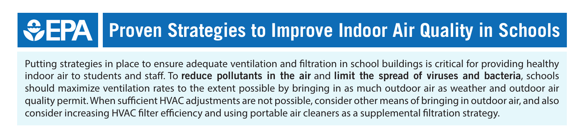

Putting strategies in place to ensure adequate ventilation and filtration in school buildings is critical for providing healthy indoor air to students and staff. To reduce pollutants in the air and limit the spread of viruses and bacteria, schools should maximize ventilation rates to the extent possible by bringing in as much outdoor air as weather and outdoor air quality permit. When sufficient HVAC adjustments are not possible, consider other means of bringing in outdoor air, and also consider increasing HVAC filter efficiency and using portable air cleaners as a supplemental filtration strategy.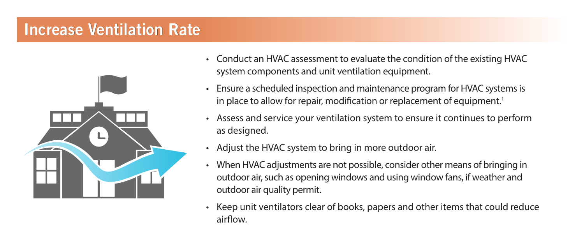#### Increase Ventilation Rate



- Conduct an HVAC assessment to evaluate the condition of the existing HVAC system components and unit ventilation equipment.
- Ensure a scheduled inspection and maintenance program for HVAC systems is in place to allow for repair, modification or replacement of equipment.<sup>1</sup>
- Assess and service your ventilation system to ensure it continues to perform as designed.
- Adjust the HVAC system to bring in more outdoor air.
- When HVAC adjustments are not possible, consider other means of bringing in outdoor air, such as opening windows and using window fans, if weather and outdoor air quality permit.
- Keep unit ventilators clear of books, papers and other items that could reduce airflow.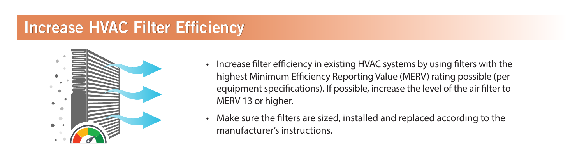#### Increase HVAC Filter Efficiency



- Increase filter efficiency in existing HVAC systems by using filters with the highest Minimum Efficiency Reporting Value (MERV) rating possible (per equipment specifications). If possible, increase the level of the air filter to MERV 13 or higher.
- Make sure the filters are sized, installed and replaced according to the manufacturer's instructions.